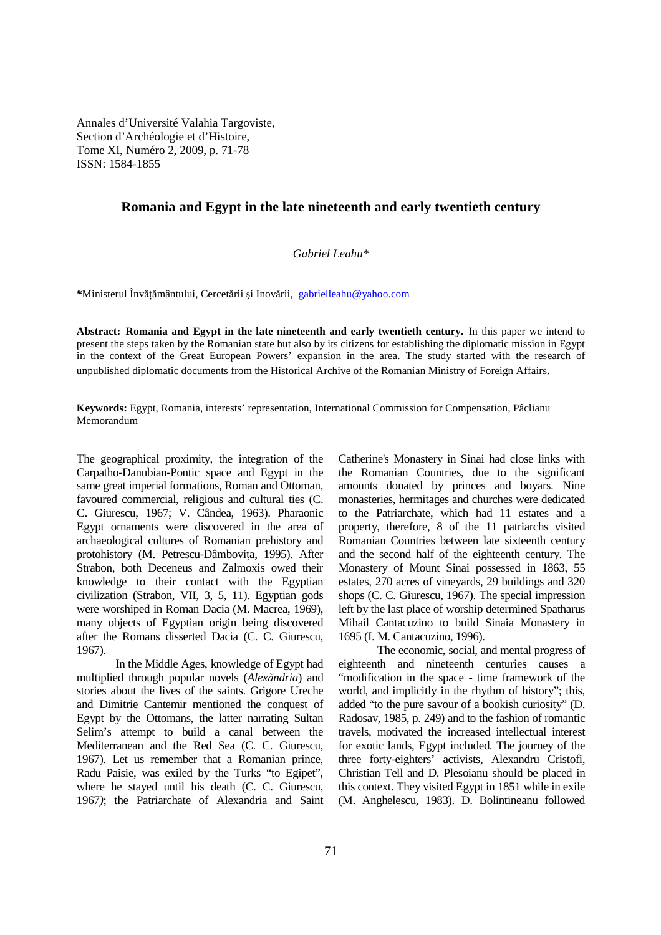Annales d'Université Valahia Targoviste, Section d'Archéologie et d'Histoire, Tome XI, Numéro 2, 2009, p. 71-78 ISSN: 1584-1855

## **Romania and Egypt in the late nineteenth and early twentieth century**

## *Gabriel Leahu\**

\*Ministerul Învățământului, Cercetării și Inovării, gabrielleahu@yahoo.com

**Abstract: Romania and Egypt in the late nineteenth and early twentieth century.** In this paper we intend to present the steps taken by the Romanian state but also by its citizens for establishing the diplomatic mission in Egypt in the context of the Great European Powers' expansion in the area. The study started with the research of unpublished diplomatic documents from the Historical Archive of the Romanian Ministry of Foreign Affairs.

**Keywords:** Egypt, Romania, interests' representation, International Commission for Compensation, Pâclianu Memorandum

The geographical proximity, the integration of the Carpatho-Danubian-Pontic space and Egypt in the same great imperial formations, Roman and Ottoman, favoured commercial, religious and cultural ties (C. C. Giurescu, 1967; V. Cândea, 1963). Pharaonic Egypt ornaments were discovered in the area of archaeological cultures of Romanian prehistory and protohistory (M. Petrescu-Dâmbovita, 1995). After Strabon, both Deceneus and Zalmoxis owed their knowledge to their contact with the Egyptian civilization (Strabon, VII, 3, 5, 11). Egyptian gods were worshiped in Roman Dacia (M. Macrea, 1969), many objects of Egyptian origin being discovered after the Romans disserted Dacia (C. C. Giurescu, 1967).

 In the Middle Ages, knowledge of Egypt had multiplied through popular novels (*Alexăndria*) and stories about the lives of the saints. Grigore Ureche and Dimitrie Cantemir mentioned the conquest of Egypt by the Ottomans, the latter narrating Sultan Selim's attempt to build a canal between the Mediterranean and the Red Sea (C. C. Giurescu, 1967). Let us remember that a Romanian prince, Radu Paisie, was exiled by the Turks "to Egipet", where he stayed until his death (C. C. Giurescu, 1967*)*; the Patriarchate of Alexandria and Saint

Catherine's Monastery in Sinai had close links with the Romanian Countries, due to the significant amounts donated by princes and boyars. Nine monasteries, hermitages and churches were dedicated to the Patriarchate, which had 11 estates and a property, therefore, 8 of the 11 patriarchs visited Romanian Countries between late sixteenth century and the second half of the eighteenth century. The Monastery of Mount Sinai possessed in 1863, 55 estates, 270 acres of vineyards, 29 buildings and 320 shops (C. C. Giurescu, 1967). The special impression left by the last place of worship determined Spatharus Mihail Cantacuzino to build Sinaia Monastery in 1695 (I. M. Cantacuzino, 1996).

 The economic, social, and mental progress of eighteenth and nineteenth centuries causes a "modification in the space - time framework of the world, and implicitly in the rhythm of history"; this, added "to the pure savour of a bookish curiosity" (D. Radosav, 1985, p. 249) and to the fashion of romantic travels, motivated the increased intellectual interest for exotic lands, Egypt included. The journey of the three forty-eighters' activists, Alexandru Cristofi, Christian Tell and D. Plesoianu should be placed in this context. They visited Egypt in 1851 while in exile (M. Anghelescu, 1983). D. Bolintineanu followed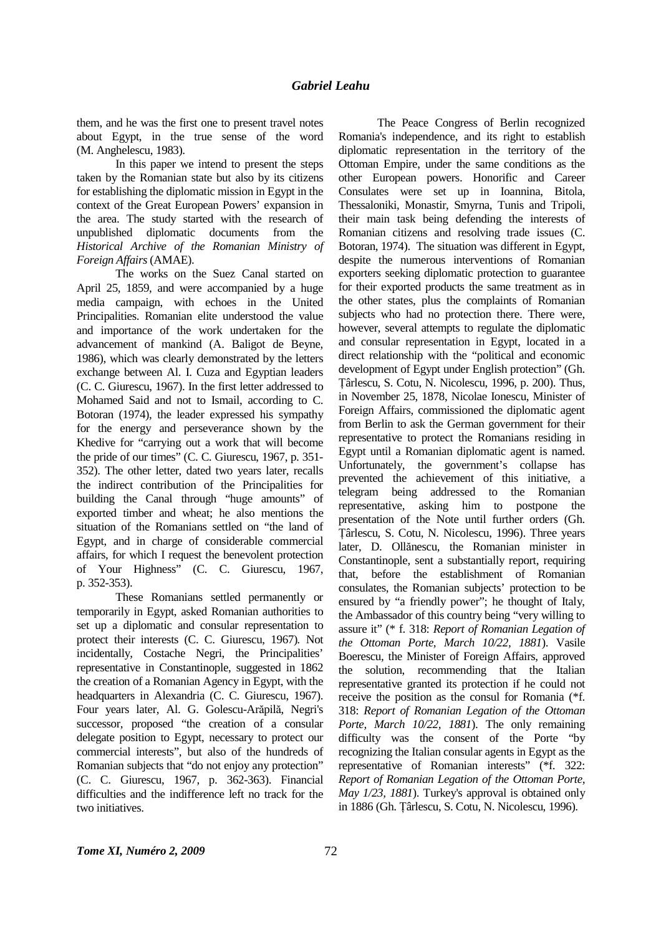them, and he was the first one to present travel notes about Egypt, in the true sense of the word (M. Anghelescu, 1983)*.* 

 In this paper we intend to present the steps taken by the Romanian state but also by its citizens for establishing the diplomatic mission in Egypt in the context of the Great European Powers' expansion in the area. The study started with the research of unpublished diplomatic documents from the *Historical Archive of the Romanian Ministry of Foreign Affairs* (AMAE).

 The works on the Suez Canal started on April 25, 1859, and were accompanied by a huge media campaign, with echoes in the United Principalities. Romanian elite understood the value and importance of the work undertaken for the advancement of mankind (A. Baligot de Beyne, 1986), which was clearly demonstrated by the letters exchange between Al. I. Cuza and Egyptian leaders (C. C. Giurescu, 1967). In the first letter addressed to Mohamed Said and not to Ismail, according to C. Botoran (1974), the leader expressed his sympathy for the energy and perseverance shown by the Khedive for "carrying out a work that will become the pride of our times" (C. C. Giurescu, 1967, p. 351- 352). The other letter, dated two years later, recalls the indirect contribution of the Principalities for building the Canal through "huge amounts" of exported timber and wheat; he also mentions the situation of the Romanians settled on "the land of Egypt, and in charge of considerable commercial affairs, for which I request the benevolent protection of Your Highness" (C. C. Giurescu, 1967, p. 352-353).

 These Romanians settled permanently or temporarily in Egypt, asked Romanian authorities to set up a diplomatic and consular representation to protect their interests (C. C. Giurescu, 1967)*.* Not incidentally, Costache Negri, the Principalities' representative in Constantinople, suggested in 1862 the creation of a Romanian Agency in Egypt, with the headquarters in Alexandria (C. C. Giurescu, 1967). Four years later, Al. G. Golescu-Arăpilă, Negri's successor, proposed "the creation of a consular delegate position to Egypt, necessary to protect our commercial interests", but also of the hundreds of Romanian subjects that "do not enjoy any protection" (C. C. Giurescu, 1967, p. 362-363). Financial difficulties and the indifference left no track for the two initiatives.

 The Peace Congress of Berlin recognized Romania's independence, and its right to establish diplomatic representation in the territory of the Ottoman Empire, under the same conditions as the other European powers. Honorific and Career Consulates were set up in Ioannina, Bitola, Thessaloniki, Monastir, Smyrna, Tunis and Tripoli, their main task being defending the interests of Romanian citizens and resolving trade issues (C. Botoran, 1974). The situation was different in Egypt, despite the numerous interventions of Romanian exporters seeking diplomatic protection to guarantee for their exported products the same treatment as in the other states, plus the complaints of Romanian subjects who had no protection there. There were, however, several attempts to regulate the diplomatic and consular representation in Egypt, located in a direct relationship with the "political and economic development of Egypt under English protection" (Gh. łârlescu, S. Cotu, N. Nicolescu, 1996, p. 200). Thus, in November 25, 1878, Nicolae Ionescu, Minister of Foreign Affairs, commissioned the diplomatic agent from Berlin to ask the German government for their representative to protect the Romanians residing in Egypt until a Romanian diplomatic agent is named. Unfortunately, the government's collapse has prevented the achievement of this initiative, a telegram being addressed to the Romanian representative, asking him to postpone the presentation of the Note until further orders (Gh. Târlescu, S. Cotu, N. Nicolescu, 1996). Three years later, D. Ollănescu, the Romanian minister in Constantinople, sent a substantially report, requiring that, before the establishment of Romanian consulates, the Romanian subjects' protection to be ensured by "a friendly power"; he thought of Italy, the Ambassador of this country being "very willing to assure it" (\* f. 318: *Report of Romanian Legation of the Ottoman Porte, March 10/22, 1881*). Vasile Boerescu, the Minister of Foreign Affairs, approved the solution, recommending that the Italian representative granted its protection if he could not receive the position as the consul for Romania (\*f. 318: *Report of Romanian Legation of the Ottoman Porte, March 10/22, 1881*). The only remaining difficulty was the consent of the Porte "by recognizing the Italian consular agents in Egypt as the representative of Romanian interests" (\*f. 322: *Report of Romanian Legation of the Ottoman Porte, May 1/23, 1881*). Turkey's approval is obtained only in 1886 (Gh. Târlescu, S. Cotu, N. Nicolescu, 1996).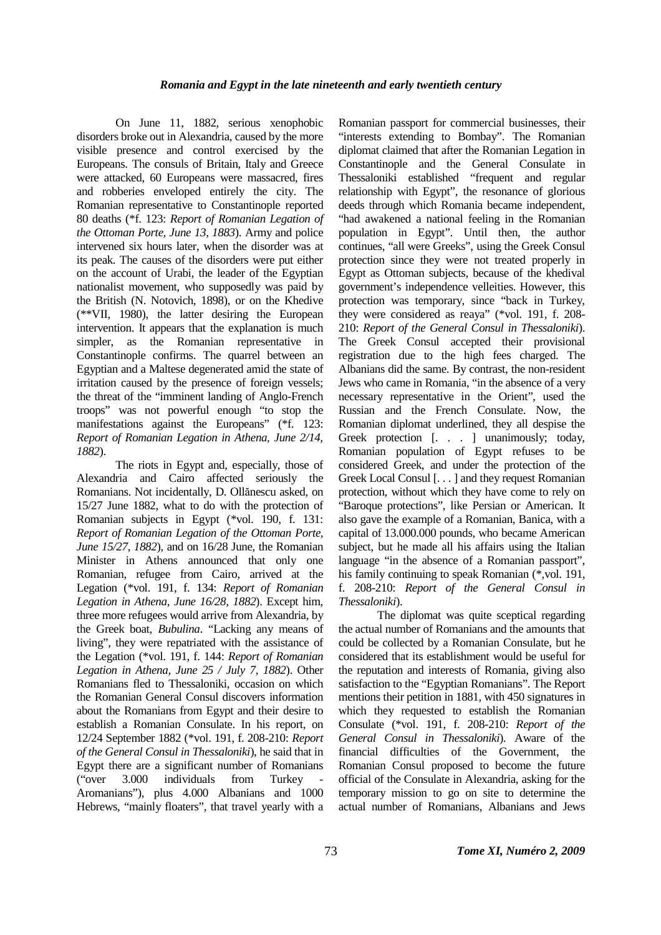On June 11, 1882, serious xenophobic disorders broke out in Alexandria, caused by the more visible presence and control exercised by the Europeans. The consuls of Britain, Italy and Greece were attacked, 60 Europeans were massacred, fires and robberies enveloped entirely the city. The Romanian representative to Constantinople reported 80 deaths (\*f. 123: *Report of Romanian Legation of the Ottoman Porte, June 13, 1883*). Army and police intervened six hours later, when the disorder was at its peak. The causes of the disorders were put either on the account of Urabi, the leader of the Egyptian nationalist movement, who supposedly was paid by the British (N. Notovich, 1898), or on the Khedive (\*\*VII, 1980), the latter desiring the European intervention. It appears that the explanation is much simpler, as the Romanian representative in Constantinople confirms. The quarrel between an Egyptian and a Maltese degenerated amid the state of irritation caused by the presence of foreign vessels; the threat of the "imminent landing of Anglo-French troops" was not powerful enough "to stop the manifestations against the Europeans" (\*f. 123: *Report of Romanian Legation in Athena, June 2/14, 1882*).

 The riots in Egypt and, especially, those of Alexandria and Cairo affected seriously the Romanians. Not incidentally, D. Ollănescu asked, on 15/27 June 1882, what to do with the protection of Romanian subjects in Egypt (\*vol. 190, f. 131: *Report of Romanian Legation of the Ottoman Porte, June 15/27, 1882*), and on 16/28 June, the Romanian Minister in Athens announced that only one Romanian, refugee from Cairo, arrived at the Legation (\*vol. 191, f. 134: *Report of Romanian Legation in Athena, June 16/28, 1882*). Except him, three more refugees would arrive from Alexandria, by the Greek boat, *Bubulina*. "Lacking any means of living", they were repatriated with the assistance of the Legation (\*vol. 191, f. 144: *Report of Romanian Legation in Athena, June 25 / July 7, 1882*). Other Romanians fled to Thessaloniki, occasion on which the Romanian General Consul discovers information about the Romanians from Egypt and their desire to establish a Romanian Consulate. In his report, on 12/24 September 1882 (\*vol. 191, f. 208-210: *Report of the General Consul in Thessaloniki*), he said that in Egypt there are a significant number of Romanians ("over  $3.000$  individuals from Turkey Aromanians"), plus 4.000 Albanians and 1000 Hebrews, "mainly floaters", that travel yearly with a

Romanian passport for commercial businesses, their "interests extending to Bombay". The Romanian diplomat claimed that after the Romanian Legation in Constantinople and the General Consulate in Thessaloniki established "frequent and regular relationship with Egypt", the resonance of glorious deeds through which Romania became independent, "had awakened a national feeling in the Romanian population in Egypt". Until then, the author continues, "all were Greeks", using the Greek Consul protection since they were not treated properly in Egypt as Ottoman subjects, because of the khedival government's independence velleities. However, this protection was temporary, since "back in Turkey, they were considered as reaya" (\*vol. 191, f. 208- 210: *Report of the General Consul in Thessaloniki*). The Greek Consul accepted their provisional registration due to the high fees charged. The Albanians did the same. By contrast, the non-resident Jews who came in Romania, "in the absence of a very necessary representative in the Orient", used the Russian and the French Consulate. Now, the Romanian diplomat underlined, they all despise the Greek protection [. . . ] unanimously; today, Romanian population of Egypt refuses to be considered Greek, and under the protection of the Greek Local Consul [. . . ] and they request Romanian protection, without which they have come to rely on "Baroque protections", like Persian or American. It also gave the example of a Romanian, Banica, with a capital of 13.000.000 pounds, who became American subject, but he made all his affairs using the Italian language "in the absence of a Romanian passport", his family continuing to speak Romanian (\*,vol. 191, f. 208-210: *Report of the General Consul in Thessaloniki*).

 The diplomat was quite sceptical regarding the actual number of Romanians and the amounts that could be collected by a Romanian Consulate, but he considered that its establishment would be useful for the reputation and interests of Romania, giving also satisfaction to the "Egyptian Romanians". The Report mentions their petition in 1881, with 450 signatures in which they requested to establish the Romanian Consulate (\*vol. 191, f. 208-210: *Report of the General Consul in Thessaloniki*)*.* Aware of the financial difficulties of the Government, the Romanian Consul proposed to become the future official of the Consulate in Alexandria, asking for the temporary mission to go on site to determine the actual number of Romanians, Albanians and Jews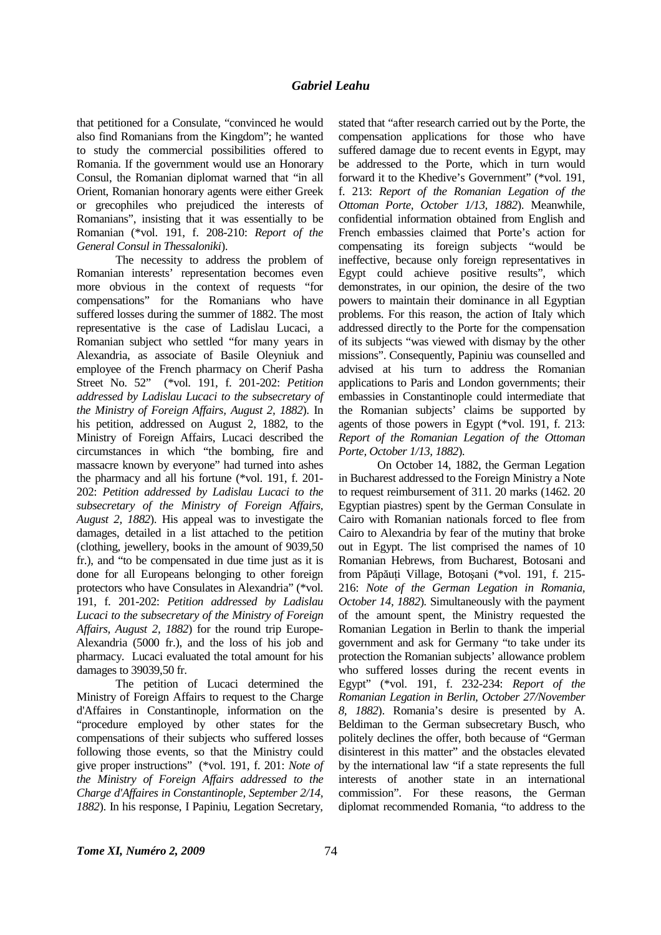that petitioned for a Consulate, "convinced he would also find Romanians from the Kingdom"; he wanted to study the commercial possibilities offered to Romania. If the government would use an Honorary Consul, the Romanian diplomat warned that "in all Orient, Romanian honorary agents were either Greek or grecophiles who prejudiced the interests of Romanians", insisting that it was essentially to be Romanian (\*vol. 191, f. 208-210: *Report of the General Consul in Thessaloniki*).

 The necessity to address the problem of Romanian interests' representation becomes even more obvious in the context of requests "for compensations" for the Romanians who have suffered losses during the summer of 1882. The most representative is the case of Ladislau Lucaci, a Romanian subject who settled "for many years in Alexandria, as associate of Basile Oleyniuk and employee of the French pharmacy on Cherif Pasha Street No. 52" (\*vol. 191, f. 201-202: *Petition addressed by Ladislau Lucaci to the subsecretary of the Ministry of Foreign Affairs, August 2, 1882*). In his petition, addressed on August 2, 1882, to the Ministry of Foreign Affairs, Lucaci described the circumstances in which "the bombing, fire and massacre known by everyone" had turned into ashes the pharmacy and all his fortune (\*vol. 191, f. 201- 202: *Petition addressed by Ladislau Lucaci to the subsecretary of the Ministry of Foreign Affairs, August 2, 1882*). His appeal was to investigate the damages, detailed in a list attached to the petition (clothing, jewellery, books in the amount of 9039,50 fr.), and "to be compensated in due time just as it is done for all Europeans belonging to other foreign protectors who have Consulates in Alexandria" (\*vol. 191, f. 201-202: *Petition addressed by Ladislau Lucaci to the subsecretary of the Ministry of Foreign Affairs, August 2, 1882*) for the round trip Europe-Alexandria (5000 fr.), and the loss of his job and pharmacy. Lucaci evaluated the total amount for his damages to 39039,50 fr.

 The petition of Lucaci determined the Ministry of Foreign Affairs to request to the Charge d'Affaires in Constantinople, information on the "procedure employed by other states for the compensations of their subjects who suffered losses following those events, so that the Ministry could give proper instructions" (\*vol. 191, f. 201: *Note of the Ministry of Foreign Affairs addressed to the Charge d'Affaires in Constantinople, September 2/14, 1882*). In his response, I Papiniu, Legation Secretary,

stated that "after research carried out by the Porte, the compensation applications for those who have suffered damage due to recent events in Egypt, may be addressed to the Porte, which in turn would forward it to the Khedive's Government" (\*vol. 191, f. 213: *Report of the Romanian Legation of the Ottoman Porte, October 1/13, 1882*). Meanwhile, confidential information obtained from English and French embassies claimed that Porte's action for compensating its foreign subjects "would be ineffective, because only foreign representatives in Egypt could achieve positive results", which demonstrates, in our opinion, the desire of the two powers to maintain their dominance in all Egyptian problems. For this reason, the action of Italy which addressed directly to the Porte for the compensation of its subjects "was viewed with dismay by the other missions". Consequently, Papiniu was counselled and advised at his turn to address the Romanian applications to Paris and London governments; their embassies in Constantinople could intermediate that the Romanian subjects' claims be supported by agents of those powers in Egypt (\*vol. 191, f. 213: *Report of the Romanian Legation of the Ottoman Porte, October 1/13, 1882*).

 On October 14, 1882, the German Legation in Bucharest addressed to the Foreign Ministry a Note to request reimbursement of 311. 20 marks (1462. 20 Egyptian piastres) spent by the German Consulate in Cairo with Romanian nationals forced to flee from Cairo to Alexandria by fear of the mutiny that broke out in Egypt. The list comprised the names of 10 Romanian Hebrews, from Bucharest, Botosani and from Păpăuți Village, Botoșani (\*vol. 191, f. 215-216: *Note of the German Legation in Romania, October 14, 1882*)*.* Simultaneously with the payment of the amount spent, the Ministry requested the Romanian Legation in Berlin to thank the imperial government and ask for Germany "to take under its protection the Romanian subjects' allowance problem who suffered losses during the recent events in Egypt" (\*vol. 191, f. 232-234: *Report of the Romanian Legation in Berlin, October 27/November 8, 1882*). Romania's desire is presented by A. Beldiman to the German subsecretary Busch, who politely declines the offer, both because of "German disinterest in this matter" and the obstacles elevated by the international law "if a state represents the full interests of another state in an international commission". For these reasons, the German diplomat recommended Romania, "to address to the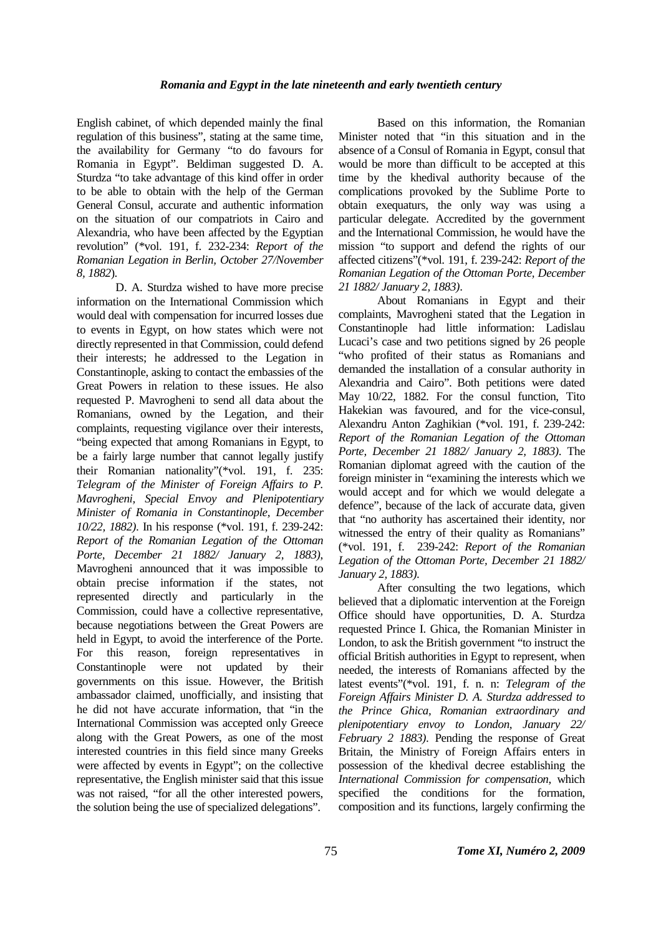English cabinet, of which depended mainly the final regulation of this business", stating at the same time, the availability for Germany "to do favours for Romania in Egypt". Beldiman suggested D. A. Sturdza "to take advantage of this kind offer in order to be able to obtain with the help of the German General Consul, accurate and authentic information on the situation of our compatriots in Cairo and Alexandria, who have been affected by the Egyptian revolution" (\*vol. 191, f. 232-234: *Report of the Romanian Legation in Berlin, October 27/November 8, 1882*).

 D. A. Sturdza wished to have more precise information on the International Commission which would deal with compensation for incurred losses due to events in Egypt, on how states which were not directly represented in that Commission, could defend their interests; he addressed to the Legation in Constantinople, asking to contact the embassies of the Great Powers in relation to these issues. He also requested P. Mavrogheni to send all data about the Romanians, owned by the Legation, and their complaints, requesting vigilance over their interests, "being expected that among Romanians in Egypt, to be a fairly large number that cannot legally justify their Romanian nationality"(\*vol. 191, f. 235: *Telegram of the Minister of Foreign Affairs to P. Mavrogheni, Special Envoy and Plenipotentiary Minister of Romania in Constantinople, December 10/22, 1882)*. In his response (\*vol. 191, f. 239-242: *Report of the Romanian Legation of the Ottoman Porte, December 21 1882/ January 2, 1883)*, Mavrogheni announced that it was impossible to obtain precise information if the states, not represented directly and particularly in the Commission, could have a collective representative, because negotiations between the Great Powers are held in Egypt, to avoid the interference of the Porte. For this reason, foreign representatives in Constantinople were not updated by their governments on this issue. However, the British ambassador claimed, unofficially, and insisting that he did not have accurate information, that "in the International Commission was accepted only Greece along with the Great Powers, as one of the most interested countries in this field since many Greeks were affected by events in Egypt"; on the collective representative, the English minister said that this issue was not raised, "for all the other interested powers, the solution being the use of specialized delegations".

 Based on this information, the Romanian Minister noted that "in this situation and in the absence of a Consul of Romania in Egypt, consul that would be more than difficult to be accepted at this time by the khedival authority because of the complications provoked by the Sublime Porte to obtain exequaturs, the only way was using a particular delegate. Accredited by the government and the International Commission, he would have the mission "to support and defend the rights of our affected citizens"(\*vol. 191, f. 239-242: *Report of the Romanian Legation of the Ottoman Porte, December 21 1882/ January 2, 1883)*.

 About Romanians in Egypt and their complaints, Mavrogheni stated that the Legation in Constantinople had little information: Ladislau Lucaci's case and two petitions signed by 26 people "who profited of their status as Romanians and demanded the installation of a consular authority in Alexandria and Cairo". Both petitions were dated May 10/22, 1882. For the consul function, Tito Hakekian was favoured, and for the vice-consul, Alexandru Anton Zaghikian (\*vol. 191, f. 239-242: *Report of the Romanian Legation of the Ottoman Porte, December 21 1882/ January 2, 1883)*. The Romanian diplomat agreed with the caution of the foreign minister in "examining the interests which we would accept and for which we would delegate a defence", because of the lack of accurate data, given that "no authority has ascertained their identity, nor witnessed the entry of their quality as Romanians" (\*vol. 191, f. 239-242: *Report of the Romanian Legation of the Ottoman Porte, December 21 1882/ January 2, 1883)*.

 After consulting the two legations, which believed that a diplomatic intervention at the Foreign Office should have opportunities, D. A. Sturdza requested Prince I. Ghica, the Romanian Minister in London, to ask the British government "to instruct the official British authorities in Egypt to represent, when needed, the interests of Romanians affected by the latest events"(\*vol. 191, f. n. n: *Telegram of the Foreign Affairs Minister D. A. Sturdza addressed to the Prince Ghica, Romanian extraordinary and plenipotentiary envoy to London, January 22/ February 2 1883)*. Pending the response of Great Britain, the Ministry of Foreign Affairs enters in possession of the khedival decree establishing the *International Commission for compensation*, which specified the conditions for the formation, composition and its functions, largely confirming the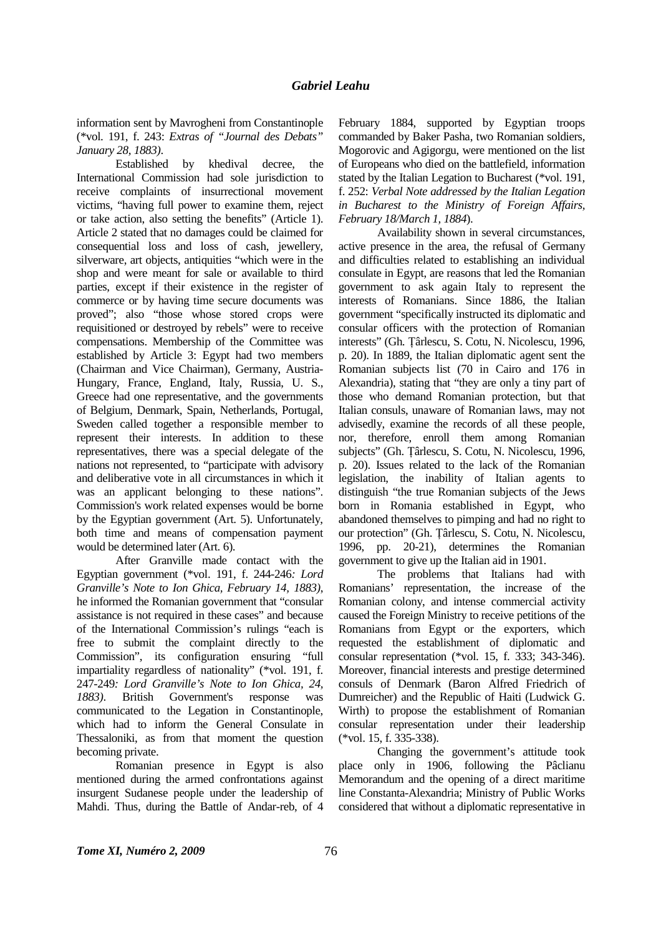information sent by Mavrogheni from Constantinople (\*vol. 191, f. 243: *Extras of "Journal des Debats" January 28, 1883)*.

 Established by khedival decree, the International Commission had sole jurisdiction to receive complaints of insurrectional movement victims, "having full power to examine them, reject or take action, also setting the benefits" (Article 1). Article 2 stated that no damages could be claimed for consequential loss and loss of cash, jewellery, silverware, art objects, antiquities "which were in the shop and were meant for sale or available to third parties, except if their existence in the register of commerce or by having time secure documents was proved"; also "those whose stored crops were requisitioned or destroyed by rebels" were to receive compensations. Membership of the Committee was established by Article 3: Egypt had two members (Chairman and Vice Chairman), Germany, Austria-Hungary, France, England, Italy, Russia, U. S., Greece had one representative, and the governments of Belgium, Denmark, Spain, Netherlands, Portugal, Sweden called together a responsible member to represent their interests. In addition to these representatives, there was a special delegate of the nations not represented, to "participate with advisory and deliberative vote in all circumstances in which it was an applicant belonging to these nations". Commission's work related expenses would be borne by the Egyptian government (Art. 5). Unfortunately, both time and means of compensation payment would be determined later (Art. 6).

 After Granville made contact with the Egyptian government (\*vol. 191, f. 244-246*: Lord Granville's Note to Ion Ghica, February 14, 1883)*, he informed the Romanian government that "consular assistance is not required in these cases" and because of the International Commission's rulings "each is free to submit the complaint directly to the Commission", its configuration ensuring "full impartiality regardless of nationality" (\*vol. 191, f. 247-249*: Lord Granville's Note to Ion Ghica, 24, 1883)*. British Government's response was communicated to the Legation in Constantinople, which had to inform the General Consulate in Thessaloniki, as from that moment the question becoming private.

 Romanian presence in Egypt is also mentioned during the armed confrontations against insurgent Sudanese people under the leadership of Mahdi. Thus, during the Battle of Andar-reb, of 4

February 1884, supported by Egyptian troops commanded by Baker Pasha, two Romanian soldiers, Mogorovic and Agigorgu, were mentioned on the list of Europeans who died on the battlefield, information stated by the Italian Legation to Bucharest (\*vol. 191*,*  f. 252: *Verbal Note addressed by the Italian Legation in Bucharest to the Ministry of Foreign Affairs, February 18/March 1, 1884*).

 Availability shown in several circumstances, active presence in the area, the refusal of Germany and difficulties related to establishing an individual consulate in Egypt, are reasons that led the Romanian government to ask again Italy to represent the interests of Romanians. Since 1886, the Italian government "specifically instructed its diplomatic and consular officers with the protection of Romanian interests" (Gh. Țârlescu, S. Cotu, N. Nicolescu, 1996, p. 20). In 1889, the Italian diplomatic agent sent the Romanian subjects list (70 in Cairo and 176 in Alexandria), stating that "they are only a tiny part of those who demand Romanian protection, but that Italian consuls, unaware of Romanian laws, may not advisedly, examine the records of all these people, nor, therefore, enroll them among Romanian subjects" (Gh. Târlescu, S. Cotu, N. Nicolescu, 1996, p. 20). Issues related to the lack of the Romanian legislation, the inability of Italian agents to distinguish "the true Romanian subjects of the Jews born in Romania established in Egypt, who abandoned themselves to pimping and had no right to our protection" (Gh. Târlescu, S. Cotu, N. Nicolescu, 1996, pp. 20-21), determines the Romanian government to give up the Italian aid in 1901.

 The problems that Italians had with Romanians' representation, the increase of the Romanian colony, and intense commercial activity caused the Foreign Ministry to receive petitions of the Romanians from Egypt or the exporters, which requested the establishment of diplomatic and consular representation (\*vol. 15, f. 333; 343-346). Moreover, financial interests and prestige determined consuls of Denmark (Baron Alfred Friedrich of Dumreicher) and the Republic of Haiti (Ludwick G. Wirth) to propose the establishment of Romanian consular representation under their leadership (\*vol. 15, f. 335-338).

Changing the government's attitude took place only in 1906, following the Pâclianu Memorandum and the opening of a direct maritime line Constanta-Alexandria; Ministry of Public Works considered that without a diplomatic representative in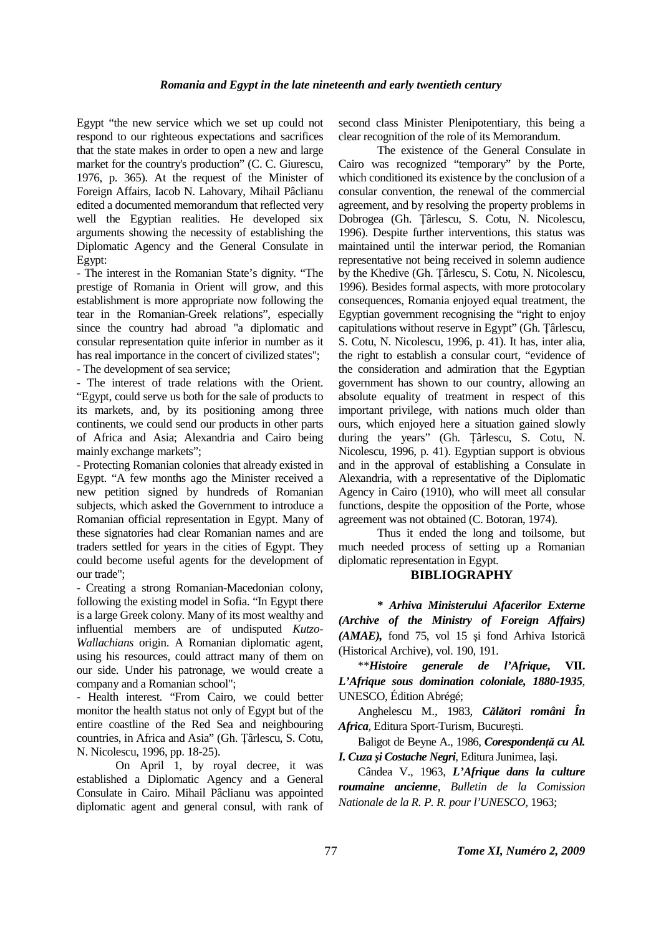Egypt "the new service which we set up could not respond to our righteous expectations and sacrifices that the state makes in order to open a new and large market for the country's production" (C. C. Giurescu, 1976, p. 365). At the request of the Minister of Foreign Affairs, Iacob N. Lahovary, Mihail Pâclianu edited a documented memorandum that reflected very well the Egyptian realities. He developed six arguments showing the necessity of establishing the Diplomatic Agency and the General Consulate in Egypt:

- The interest in the Romanian State's dignity. "The prestige of Romania in Orient will grow, and this establishment is more appropriate now following the tear in the Romanian-Greek relations", especially since the country had abroad "a diplomatic and consular representation quite inferior in number as it has real importance in the concert of civilized states"; - The development of sea service;

- The interest of trade relations with the Orient. "Egypt, could serve us both for the sale of products to its markets, and, by its positioning among three continents, we could send our products in other parts of Africa and Asia; Alexandria and Cairo being mainly exchange markets";

- Protecting Romanian colonies that already existed in Egypt. "A few months ago the Minister received a new petition signed by hundreds of Romanian subjects, which asked the Government to introduce a Romanian official representation in Egypt. Many of these signatories had clear Romanian names and are traders settled for years in the cities of Egypt. They could become useful agents for the development of our trade";

- Creating a strong Romanian-Macedonian colony, following the existing model in Sofia. "In Egypt there is a large Greek colony. Many of its most wealthy and influential members are of undisputed *Kutzo*-*Wallachians* origin. A Romanian diplomatic agent, using his resources, could attract many of them on our side. Under his patronage, we would create a company and a Romanian school";

- Health interest. "From Cairo, we could better monitor the health status not only of Egypt but of the entire coastline of the Red Sea and neighbouring countries, in Africa and Asia" (Gh. Târlescu, S. Cotu, N. Nicolescu, 1996, pp. 18-25).

On April 1, by royal decree, it was established a Diplomatic Agency and a General Consulate in Cairo. Mihail Pâclianu was appointed diplomatic agent and general consul, with rank of

second class Minister Plenipotentiary, this being a clear recognition of the role of its Memorandum.

 The existence of the General Consulate in Cairo was recognized "temporary" by the Porte, which conditioned its existence by the conclusion of a consular convention, the renewal of the commercial agreement, and by resolving the property problems in Dobrogea (Gh. Târlescu, S. Cotu, N. Nicolescu, 1996). Despite further interventions, this status was maintained until the interwar period, the Romanian representative not being received in solemn audience by the Khedive (Gh. Țârlescu, S. Cotu, N. Nicolescu, 1996). Besides formal aspects, with more protocolary consequences, Romania enjoyed equal treatment, the Egyptian government recognising the "right to enjoy capitulations without reserve in Egypt" (Gh. Țârlescu, S. Cotu, N. Nicolescu, 1996, p. 41). It has, inter alia, the right to establish a consular court, "evidence of the consideration and admiration that the Egyptian government has shown to our country, allowing an absolute equality of treatment in respect of this important privilege, with nations much older than ours, which enjoyed here a situation gained slowly during the years" (Gh. Țârlescu, S. Cotu, N. Nicolescu, 1996, p. 41). Egyptian support is obvious and in the approval of establishing a Consulate in Alexandria, with a representative of the Diplomatic Agency in Cairo (1910), who will meet all consular functions, despite the opposition of the Porte, whose agreement was not obtained (C. Botoran, 1974).

 Thus it ended the long and toilsome, but much needed process of setting up a Romanian diplomatic representation in Egypt.

## **BIBLIOGRAPHY**

**\*** *Arhiva Ministerului Afacerilor Externe (Archive of the Ministry of Foreign Affairs) (AMAE),* fond 75, vol 15 şi fond Arhiva Istorică (Historical Archive), vol. 190, 191.

\*\**Histoire generale de l'Afrique***, VII.**  *L'Afrique sous domination coloniale, 1880-1935*, UNESCO, Édition Abrégé;

Anghelescu M., 1983, *Călători români În Africa,* Editura Sport-Turism, Bucureşti.

Baligot de Beyne A., 1986, *Corespondentă cu Al. I. Cuza şi Costache Negri,* Editura Junimea, Iaşi.

Cândea V., 1963, *L'Afrique dans la culture roumaine ancienne*, *Bulletin de la Comission Nationale de la R. P. R. pour l'UNESCO,* 1963;